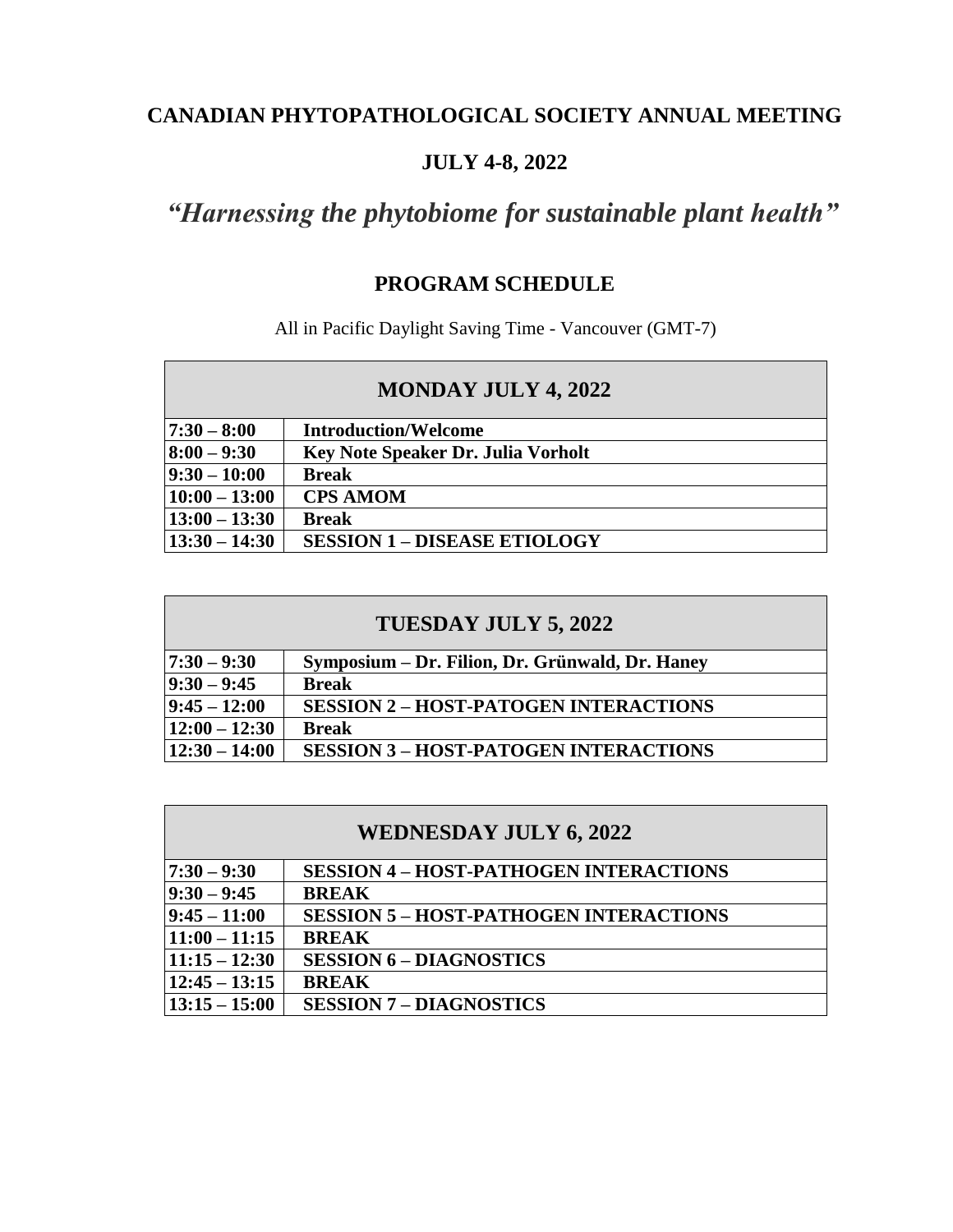# **CANADIAN PHYTOPATHOLOGICAL SOCIETY ANNUAL MEETING**

# **JULY 4-8, 2022**

# *"Harnessing the phytobiome for sustainable plant health"*

# **PROGRAM SCHEDULE**

All in Pacific Daylight Saving Time - Vancouver (GMT-7)

| <b>MONDAY JULY 4, 2022</b> |                                           |  |  |
|----------------------------|-------------------------------------------|--|--|
| $ 7:30 - 8:00$             | <b>Introduction/Welcome</b>               |  |  |
| $8:00 - 9:30$              | <b>Key Note Speaker Dr. Julia Vorholt</b> |  |  |
| $ 9:30 - 10:00 $           | <b>Break</b>                              |  |  |
| $10:00 - 13:00$            | <b>CPS AMOM</b>                           |  |  |
| $13:00 - 13:30$            | <b>Break</b>                              |  |  |
| $13:30 - 14:30$            | <b>SESSION 1 - DISEASE ETIOLOGY</b>       |  |  |

| TUESDAY JULY 5, 2022 |                                                 |  |  |
|----------------------|-------------------------------------------------|--|--|
| $17:30 - 9:30$       | Symposium – Dr. Filion, Dr. Grünwald, Dr. Haney |  |  |
| $ 9:30 - 9:45 $      | <b>Break</b>                                    |  |  |
| $ 9:45 - 12:00 $     | <b>SESSION 2 - HOST-PATOGEN INTERACTIONS</b>    |  |  |
| $12:00 - 12:30$      | <b>Break</b>                                    |  |  |
| $12:30 - 14:00$      | <b>SESSION 3 - HOST-PATOGEN INTERACTIONS</b>    |  |  |

| <b>WEDNESDAY JULY 6, 2022</b> |                                               |  |  |
|-------------------------------|-----------------------------------------------|--|--|
| $7:30 - 9:30$                 | <b>SESSION 4 - HOST-PATHOGEN INTERACTIONS</b> |  |  |
| $9:30 - 9:45$                 | <b>BREAK</b>                                  |  |  |
| $9:45 - 11:00$                | <b>SESSION 5 - HOST-PATHOGEN INTERACTIONS</b> |  |  |
| $11:00 - 11:15$               | <b>BREAK</b>                                  |  |  |
| $11:15 - 12:30$               | <b>SESSION 6 - DIAGNOSTICS</b>                |  |  |
| $12:45 - 13:15$               | <b>BREAK</b>                                  |  |  |
| $13:15 - 15:00$               | <b>SESSION 7 - DIAGNOSTICS</b>                |  |  |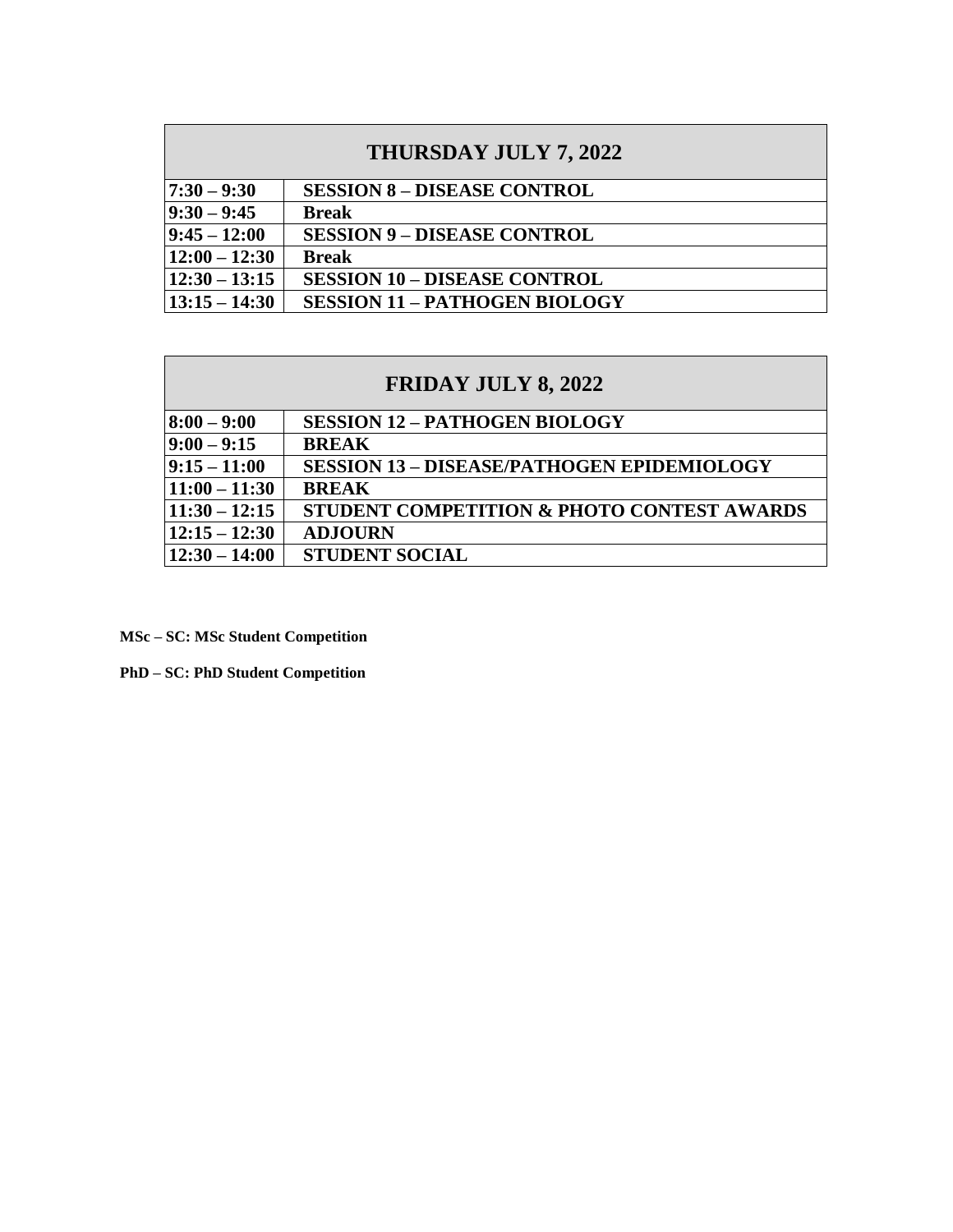| THURSDAY JULY 7, 2022 |                                      |  |  |
|-----------------------|--------------------------------------|--|--|
| $17:30 - 9:30$        | <b>SESSION 8 - DISEASE CONTROL</b>   |  |  |
| $ 9:30 - 9:45 $       | <b>Break</b>                         |  |  |
| $ 9:45 - 12:00 $      | <b>SESSION 9 - DISEASE CONTROL</b>   |  |  |
| $12:00 - 12:30$       | <b>Break</b>                         |  |  |
| $12:30 - 13:15$       | <b>SESSION 10 - DISEASE CONTROL</b>  |  |  |
| $13:15 - 14:30$       | <b>SESSION 11 - PATHOGEN BIOLOGY</b> |  |  |

| <b>FRIDAY JULY 8, 2022</b> |                                                   |  |  |
|----------------------------|---------------------------------------------------|--|--|
| $8:00 - 9:00$              | <b>SESSION 12 - PATHOGEN BIOLOGY</b>              |  |  |
| $9:00 - 9:15$              | <b>BREAK</b>                                      |  |  |
| $ 9:15 - 11:00$            | <b>SESSION 13 - DISEASE/PATHOGEN EPIDEMIOLOGY</b> |  |  |
| $11:00 - 11:30$            | <b>BREAK</b>                                      |  |  |
| $11:30 - 12:15$            | STUDENT COMPETITION & PHOTO CONTEST AWARDS        |  |  |
| $12:15 - 12:30$            | <b>ADJOURN</b>                                    |  |  |
| $12:30 - 14:00$            | <b>STUDENT SOCIAL</b>                             |  |  |

**MSc – SC: MSc Student Competition**

**PhD – SC: PhD Student Competition**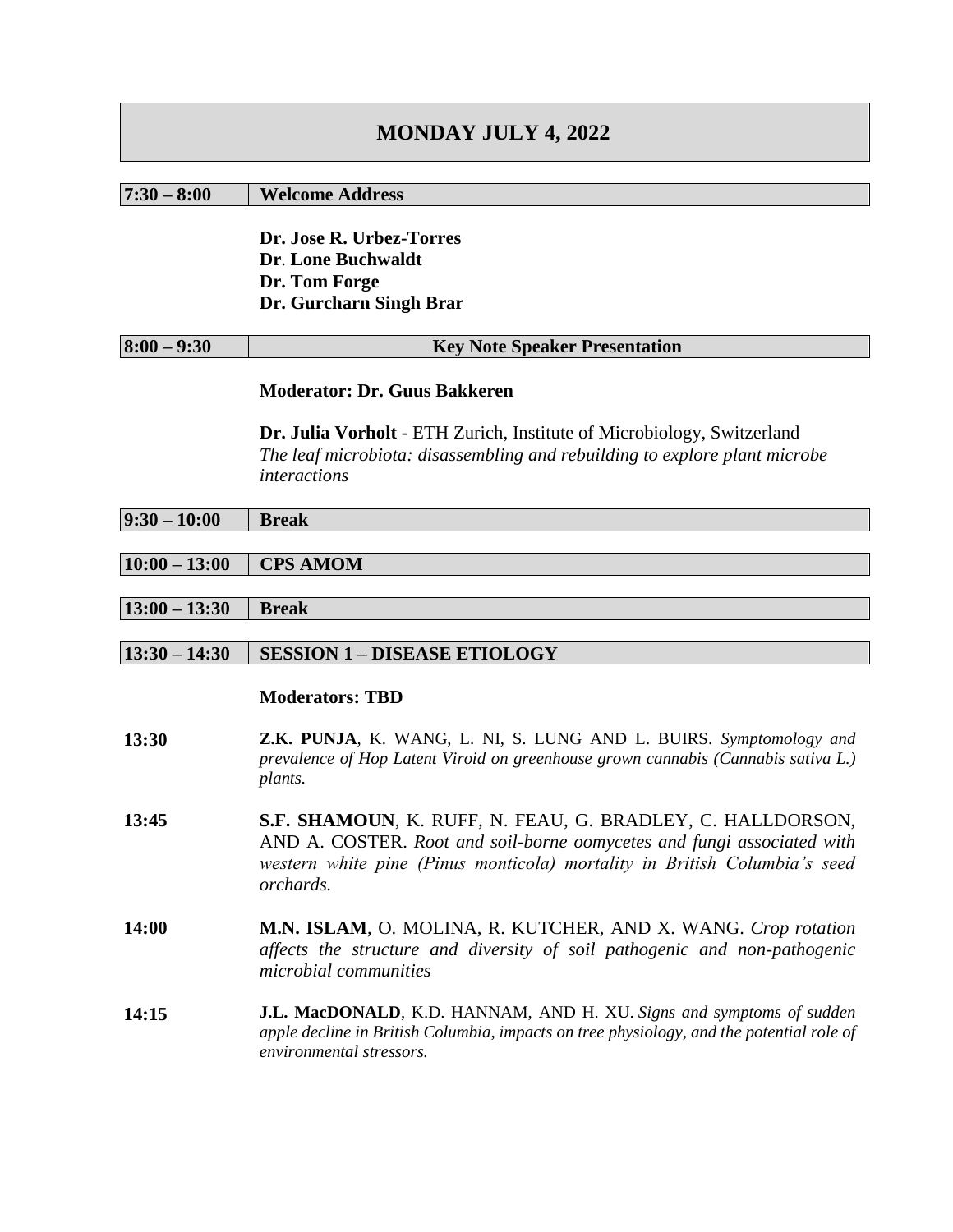# **MONDAY JULY 4, 2022**

#### **7:30 – 8:00 Welcome Address**

**Dr. Jose R. Urbez-Torres Dr**. **Lone Buchwaldt Dr. Tom Forge Dr. Gurcharn Singh Brar** 

| $8:00 - 9:30$<br><b>Key Note Speaker Presentation</b> |
|-------------------------------------------------------|
|-------------------------------------------------------|

#### **Moderator: Dr. Guus Bakkeren**

**Dr. Julia Vorholt** - ETH Zurich, Institute of Microbiology, Switzerland *The leaf microbiota: disassembling and rebuilding to explore plant microbe interactions*

# **10:00 – 13:00 CPS AMOM**

**13:00 – 13:30 Break**

# **13:30 – 14:30 SESSION 1 – DISEASE ETIOLOGY**

- **13:30 Z.K. PUNJA**, K. WANG, L. NI, S. LUNG AND L. BUIRS. *Symptomology and prevalence of Hop Latent Viroid on greenhouse grown cannabis (Cannabis sativa L.) plants.*
- **13:45 S.F. SHAMOUN**, K. RUFF, N. FEAU, G. BRADLEY, C. HALLDORSON, AND A. COSTER. *Root and soil-borne oomycetes and fungi associated with western white pine (Pinus monticola) mortality in British Columbia's seed orchards.*
- **14:00 M.N. ISLAM**, O. MOLINA, R. KUTCHER, AND X. WANG. *Crop rotation affects the structure and diversity of soil pathogenic and non-pathogenic microbial communities*
- **14:15 J.L. MacDONALD**, K.D. HANNAM, AND H. XU. *Signs and symptoms of sudden apple decline in British Columbia, impacts on tree physiology, and the potential role of environmental stressors.*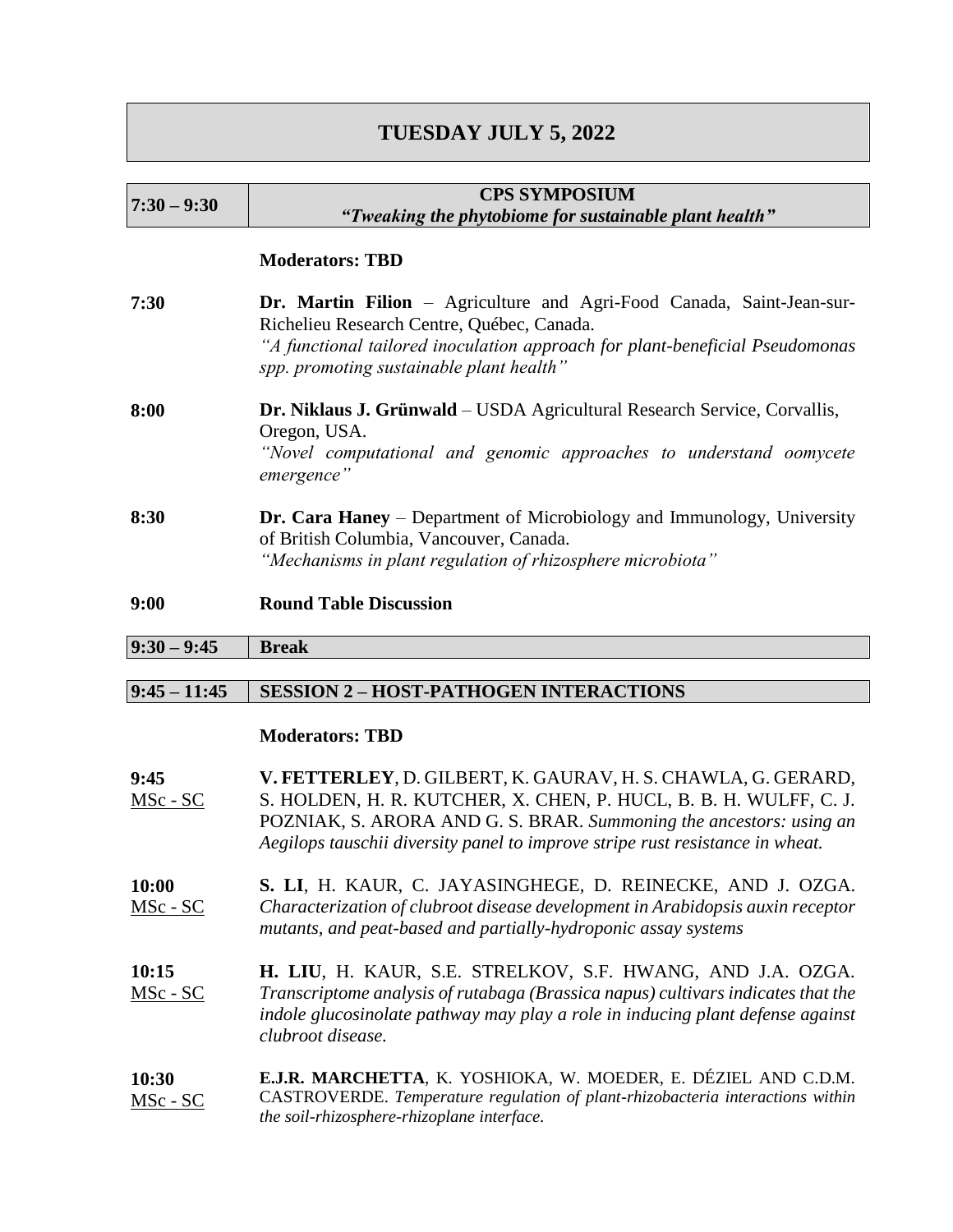# **TUESDAY JULY 5, 2022**

| $7:30 - 9:30$       | <b>CPS SYMPOSIUM</b><br>"Tweaking the phytobiome for sustainable plant health"                                                                                                                                                                                                             |  |  |  |  |  |  |
|---------------------|--------------------------------------------------------------------------------------------------------------------------------------------------------------------------------------------------------------------------------------------------------------------------------------------|--|--|--|--|--|--|
|                     | <b>Moderators: TBD</b>                                                                                                                                                                                                                                                                     |  |  |  |  |  |  |
| 7:30                | <b>Dr. Martin Filion</b> – Agriculture and Agri-Food Canada, Saint-Jean-sur-<br>Richelieu Research Centre, Québec, Canada.<br>"A functional tailored inoculation approach for plant-beneficial Pseudomonas<br>spp. promoting sustainable plant health"                                     |  |  |  |  |  |  |
| 8:00                | Dr. Niklaus J. Grünwald - USDA Agricultural Research Service, Corvallis,<br>Oregon, USA.<br>"Novel computational and genomic approaches to understand oomycete<br>emergence"                                                                                                               |  |  |  |  |  |  |
| 8:30                | <b>Dr. Cara Haney</b> – Department of Microbiology and Immunology, University<br>of British Columbia, Vancouver, Canada.<br>"Mechanisms in plant regulation of rhizosphere microbiota"                                                                                                     |  |  |  |  |  |  |
| 9:00                | <b>Round Table Discussion</b>                                                                                                                                                                                                                                                              |  |  |  |  |  |  |
| $9:30 - 9:45$       | <b>Break</b>                                                                                                                                                                                                                                                                               |  |  |  |  |  |  |
|                     |                                                                                                                                                                                                                                                                                            |  |  |  |  |  |  |
| $9:45 - 11:45$      | <b>SESSION 2 - HOST-PATHOGEN INTERACTIONS</b>                                                                                                                                                                                                                                              |  |  |  |  |  |  |
|                     | <b>Moderators: TBD</b>                                                                                                                                                                                                                                                                     |  |  |  |  |  |  |
| 9:45<br>$MSc - SC$  | V. FETTERLEY, D. GILBERT, K. GAURAV, H. S. CHAWLA, G. GERARD,<br>S. HOLDEN, H. R. KUTCHER, X. CHEN, P. HUCL, B. B. H. WULFF, C. J.<br>POZNIAK, S. ARORA AND G. S. BRAR. Summoning the ancestors: using an<br>Aegilops tauschii diversity panel to improve stripe rust resistance in wheat. |  |  |  |  |  |  |
| 10:00<br>$MSc - SC$ | S. LI, H. KAUR, C. JAYASINGHEGE, D. REINECKE, AND J. OZGA.<br>Characterization of clubroot disease development in Arabidopsis auxin receptor<br>mutants, and peat-based and partially-hydroponic assay systems                                                                             |  |  |  |  |  |  |
| 10:15<br>MSc - SC   | <b>H. LIU, H. KAUR, S.E. STRELKOV, S.F. HWANG, AND J.A. OZGA.</b><br>Transcriptome analysis of rutabaga (Brassica napus) cultivars indicates that the<br>indole glucosinolate pathway may play a role in inducing plant defense against                                                    |  |  |  |  |  |  |

**10:30** MSc - SC **E.J.R. MARCHETTA**, K. YOSHIOKA, W. MOEDER, E. DÉZIEL AND C.D.M. CASTROVERDE. *Temperature regulation of plant-rhizobacteria interactions within the soil-rhizosphere-rhizoplane interface.*

*clubroot disease.*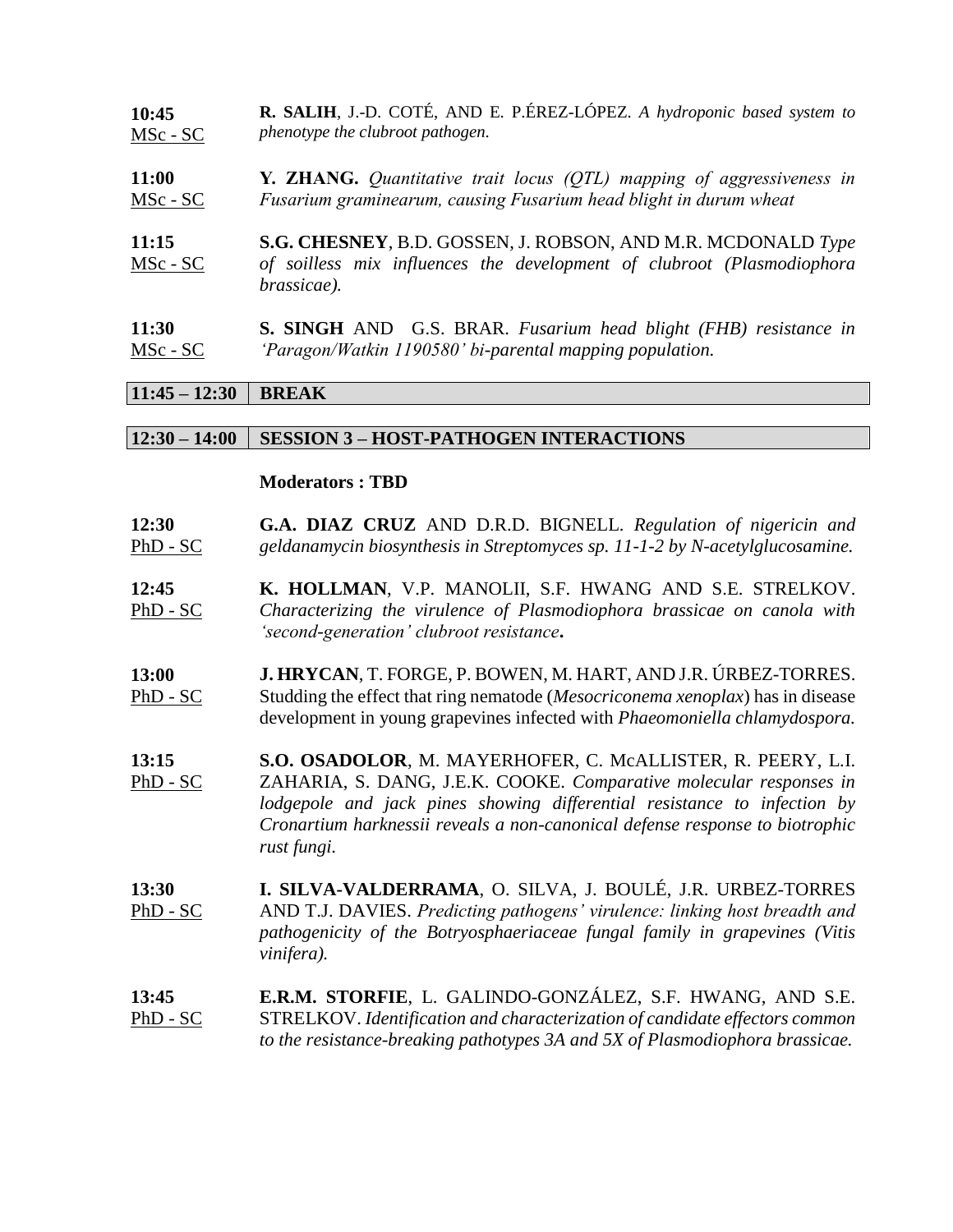**10:45** MSc - SC **R. SALIH**, J.-D. COTÉ, AND E. P.ÉREZ-LÓPEZ. *A hydroponic based system to phenotype the clubroot pathogen.*

**11:00** MSc - SC **Y. ZHANG.** *Quantitative trait locus (QTL) mapping of aggressiveness in Fusarium graminearum, causing Fusarium head blight in durum wheat*

**11:15** MSc - SC **S.G. CHESNEY**, B.D. GOSSEN, J. ROBSON, AND M.R. MCDONALD *Type of soilless mix influences the development of clubroot (Plasmodiophora brassicae).*

**11:30** MSc - SC **S. SINGH** AND G.S. BRAR. *Fusarium head blight (FHB) resistance in 'Paragon/Watkin 1190580' bi-parental mapping population.*

### **11:45 – 12:30 BREAK**

#### **12:30 – 14:00 SESSION 3 – HOST-PATHOGEN INTERACTIONS**

#### **Moderators : TBD**

**12:30** PhD - SC **G.A. DIAZ CRUZ** AND D.R.D. BIGNELL. *Regulation of nigericin and geldanamycin biosynthesis in Streptomyces sp. 11-1-2 by N-acetylglucosamine.*

**12:45** PhD - SC **K. HOLLMAN**, V.P. MANOLII, S.F. HWANG AND S.E. STRELKOV. *Characterizing the virulence of Plasmodiophora brassicae on canola with 'second-generation' clubroot resistance***.**

- **13:00** PhD - SC **J. HRYCAN**, T. FORGE, P. BOWEN, M. HART, AND J.R. ÚRBEZ-TORRES. Studding the effect that ring nematode (*Mesocriconema xenoplax*) has in disease development in young grapevines infected with *Phaeomoniella chlamydospora.*
- **13:15** PhD - SC **S.O. OSADOLOR**, M. MAYERHOFER, C. McALLISTER, R. PEERY, L.I. ZAHARIA, S. DANG, J.E.K. COOKE. *Comparative molecular responses in lodgepole and jack pines showing differential resistance to infection by Cronartium harknessii reveals a non-canonical defense response to biotrophic rust fungi.*
- **13:30** PhD - SC **I. SILVA-VALDERRAMA**, O. SILVA, J. BOULÉ, J.R. URBEZ-TORRES AND T.J. DAVIES. *Predicting pathogens' virulence: linking host breadth and pathogenicity of the Botryosphaeriaceae fungal family in grapevines (Vitis vinifera).*
- **13:45** PhD - SC **E.R.M. STORFIE**, L. GALINDO-GONZÁLEZ, S.F. HWANG, AND S.E. STRELKOV. *Identification and characterization of candidate effectors common to the resistance-breaking pathotypes 3A and 5X of Plasmodiophora brassicae.*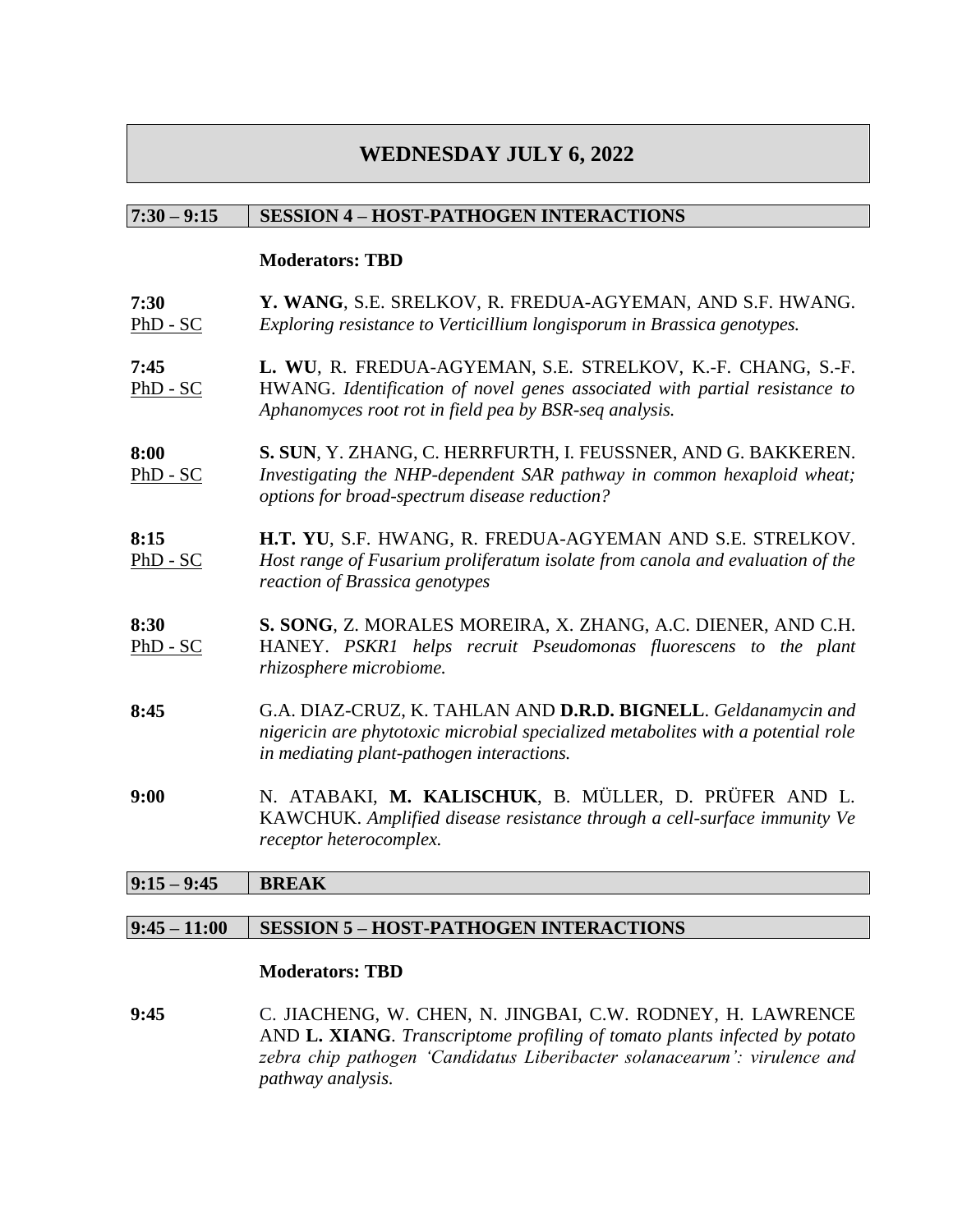# **WEDNESDAY JULY 6, 2022**

### **7:30 – 9:15 SESSION 4 – HOST-PATHOGEN INTERACTIONS**

#### **Moderators: TBD**

- **7:30**  $PhD - SC$ **Y. WANG**, S.E. SRELKOV, R. FREDUA-AGYEMAN, AND S.F. HWANG. *Exploring resistance to Verticillium longisporum in Brassica genotypes.*
- **7:45** PhD - SC **L. WU**, R. FREDUA-AGYEMAN, S.E. STRELKOV, K.-F. CHANG, S.-F. HWANG. *Identification of novel genes associated with partial resistance to Aphanomyces root rot in field pea by BSR-seq analysis.*
- **8:00** PhD - SC **S. SUN**, Y. ZHANG, C. HERRFURTH, I. FEUSSNER, AND G. BAKKEREN. *Investigating the NHP-dependent SAR pathway in common hexaploid wheat; options for broad-spectrum disease reduction?*
- **8:15** PhD - SC **H.T. YU**, S.F. HWANG, R. FREDUA-AGYEMAN AND S.E. STRELKOV. *Host range of Fusarium proliferatum isolate from canola and evaluation of the reaction of Brassica genotypes*
- **8:30** PhD - SC **S. SONG**, Z. MORALES MOREIRA, X. ZHANG, A.C. DIENER, AND C.H. HANEY. *PSKR1 helps recruit Pseudomonas fluorescens to the plant rhizosphere microbiome.*
- **8:45** G.A. DIAZ-CRUZ, K. TAHLAN AND **D.R.D. BIGNELL**. *Geldanamycin and nigericin are phytotoxic microbial specialized metabolites with a potential role in mediating plant-pathogen interactions.*
- **9:00** N. ATABAKI, **M. KALISCHUK**, B. MÜLLER, D. PRÜFER AND L. KAWCHUK. *Amplified disease resistance through a cell-surface immunity Ve receptor heterocomplex.*

# **9:15 – 9:45 BREAK**

# **9:45 – 11:00 SESSION 5 – HOST-PATHOGEN INTERACTIONS**

#### **Moderators: TBD**

**9:45** C. JIACHENG, W. CHEN, N. JINGBAI, C.W. RODNEY, H. LAWRENCE AND **L. XIANG**. *Transcriptome profiling of tomato plants infected by potato zebra chip pathogen 'Candidatus Liberibacter solanacearum': virulence and pathway analysis.*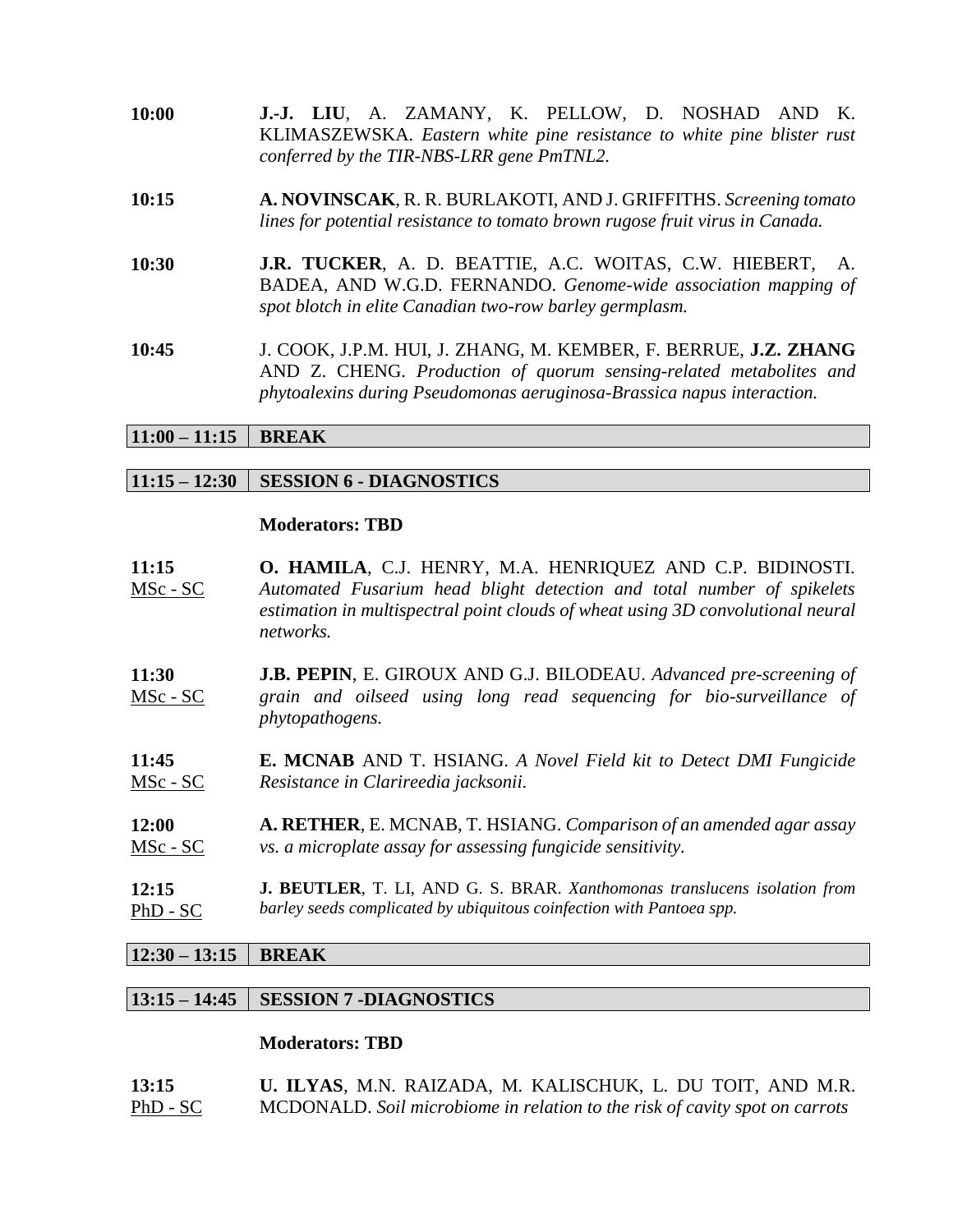| 10:00 | J.-J. LIU, A. ZAMANY, K. PELLOW, D. NOSHAD AND K.<br>KLIMASZEWSKA. Eastern white pine resistance to white pine blister rust<br>conferred by the TIR-NBS-LRR gene PmTNL2.                                        |  |  |  |  |  |  |
|-------|-----------------------------------------------------------------------------------------------------------------------------------------------------------------------------------------------------------------|--|--|--|--|--|--|
| 10:15 | A. NOVINSCAK, R. R. BURLAKOTI, AND J. GRIFFITHS. Screening tomato<br>lines for potential resistance to tomato brown rugose fruit virus in Canada.                                                               |  |  |  |  |  |  |
| 10:30 | <b>J.R. TUCKER, A. D. BEATTIE, A.C. WOITAS, C.W. HIEBERT, A.</b><br>BADEA, AND W.G.D. FERNANDO. Genome-wide association mapping of<br>spot blotch in elite Canadian two-row barley germplasm.                   |  |  |  |  |  |  |
| 10:45 | J. COOK, J.P.M. HUI, J. ZHANG, M. KEMBER, F. BERRUE, J.Z. ZHANG<br>AND Z. CHENG. Production of quorum sensing-related metabolites and<br>phytoalexins during Pseudomonas aeruginosa-Brassica napus interaction. |  |  |  |  |  |  |

### $11:00 - 11:15$  **BREAK**

#### **11:15 – 12:30 SESSION 6 - DIAGNOSTICS**

#### **Moderators: TBD**

- **11:15** MSc - SC **O. HAMILA**, C.J. HENRY, M.A. HENRIQUEZ AND C.P. BIDINOSTI. *Automated Fusarium head blight detection and total number of spikelets estimation in multispectral point clouds of wheat using 3D convolutional neural networks.*
- **11:30** MSc - SC **J.B. PEPIN**, E. GIROUX AND G.J. BILODEAU. *Advanced pre-screening of grain and oilseed using long read sequencing for bio-surveillance of phytopathogens.*
- **11:45** MSc - SC **E. MCNAB** AND T. HSIANG. *A Novel Field kit to Detect DMI Fungicide Resistance in Clarireedia jacksonii.*
- **12:00** MSc - SC **A. RETHER**, E. MCNAB, T. HSIANG. *Comparison of an amended agar assay vs. a microplate assay for assessing fungicide sensitivity.*
- **12:15** PhD - SC **J. BEUTLER**, T. LI, AND G. S. BRAR. *Xanthomonas translucens isolation from barley seeds complicated by ubiquitous coinfection with Pantoea spp.*

#### **12:30 – 13:15 BREAK**

#### **13:15 – 14:45 SESSION 7 -DIAGNOSTICS**

| 13:15    | U. ILYAS, M.N. RAIZADA, M. KALISCHUK, L. DU TOIT, AND M.R.                  |
|----------|-----------------------------------------------------------------------------|
| PhD - SC | MCDONALD. Soil microbiome in relation to the risk of cavity spot on carrots |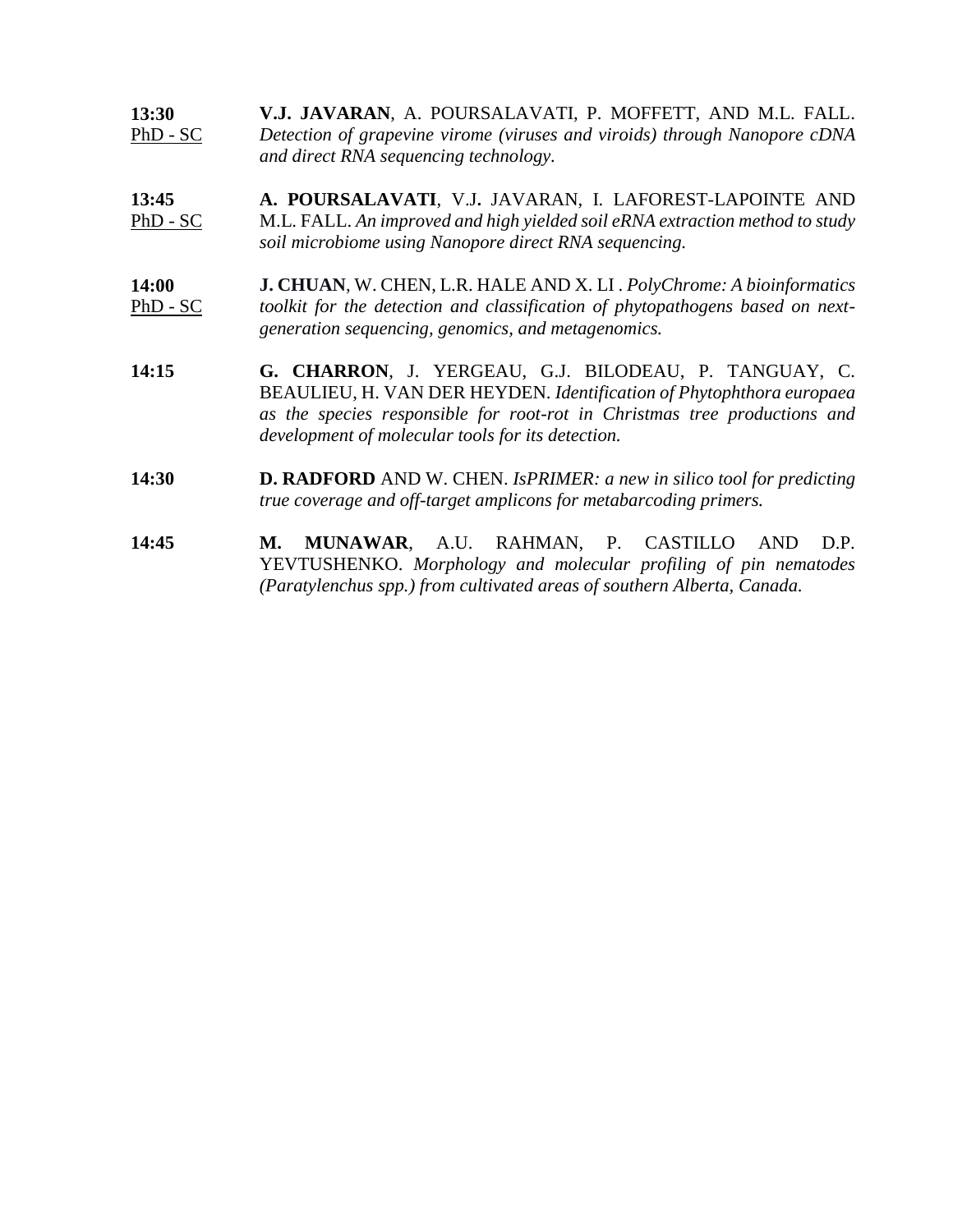| 13:30    | V.J. JAVARAN, A. POURSALAVATI, P. MOFFETT, AND M.L. FALL.                 |
|----------|---------------------------------------------------------------------------|
| PhD - SC | Detection of grapevine virome (viruses and viroids) through Nanopore cDNA |
|          | and direct RNA sequencing technology.                                     |

- **13:45** PhD - SC **A. POURSALAVATI**, V.J**.** JAVARAN, I. LAFOREST-LAPOINTE AND M.L. FALL. *An improved and high yielded soil eRNA extraction method to study soil microbiome using Nanopore direct RNA sequencing.*
- **14:00** PhD - SC **J. CHUAN**, W. CHEN, L.R. HALE AND X. LI . *PolyChrome: A bioinformatics toolkit for the detection and classification of phytopathogens based on nextgeneration sequencing, genomics, and metagenomics.*
- **14:15 G. CHARRON**, J. YERGEAU, G.J. BILODEAU, P. TANGUAY, C. BEAULIEU, H. VAN DER HEYDEN. *Identification of Phytophthora europaea as the species responsible for root-rot in Christmas tree productions and development of molecular tools for its detection.*
- **14:30 D. RADFORD** AND W. CHEN. *IsPRIMER: a new in silico tool for predicting true coverage and off-target amplicons for metabarcoding primers.*
- **14:45 M. MUNAWAR**, A.U. RAHMAN, P. CASTILLO AND D.P. YEVTUSHENKO. *Morphology and molecular profiling of pin nematodes (Paratylenchus spp.) from cultivated areas of southern Alberta, Canada.*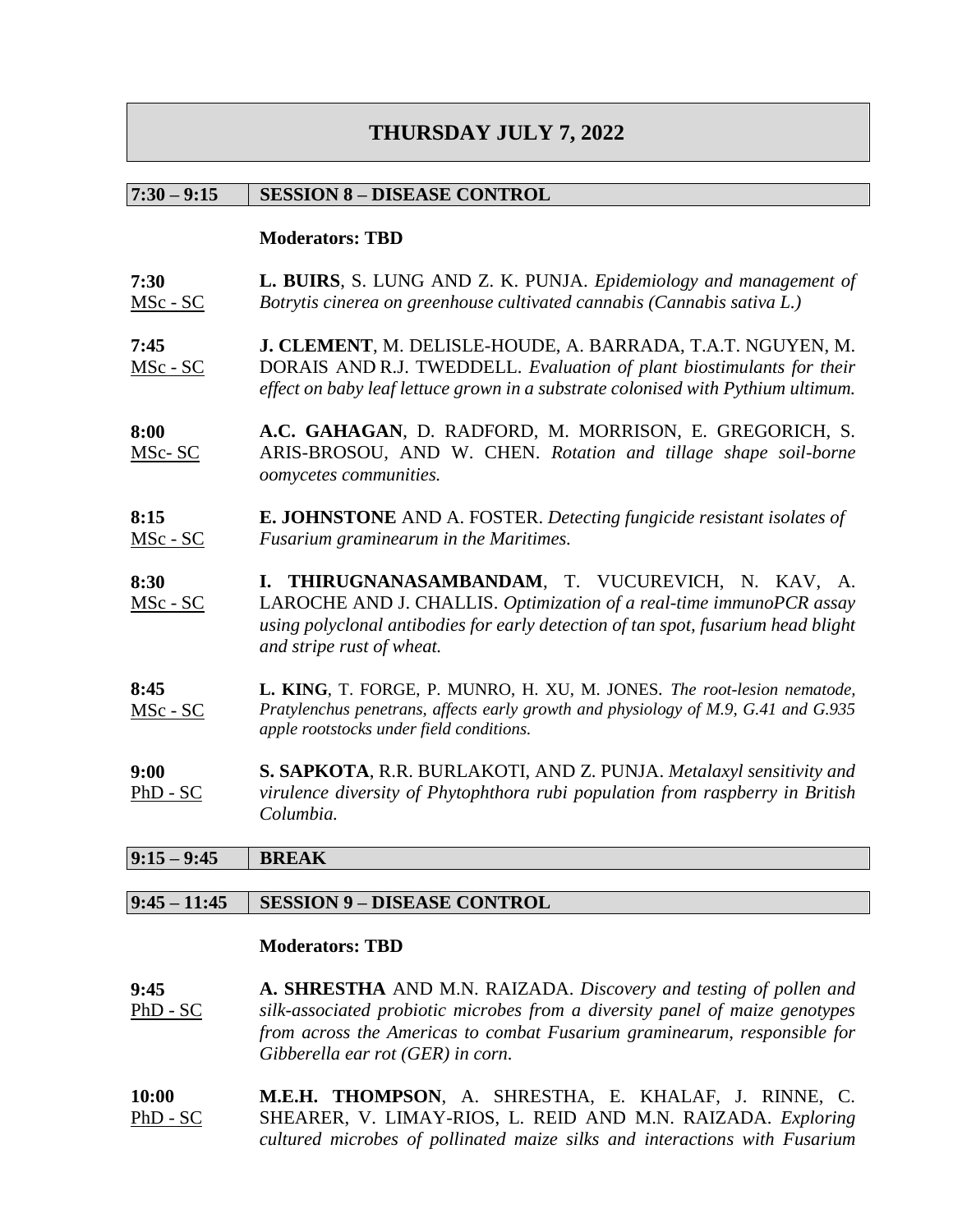# **THURSDAY JULY 7, 2022**

### **7:30 – 9:15 SESSION 8 – DISEASE CONTROL**

#### **Moderators: TBD**

- **7:30** MSc - SC **L. BUIRS**, S. LUNG AND Z. K. PUNJA. *Epidemiology and management of Botrytis cinerea on greenhouse cultivated cannabis (Cannabis sativa L.)*
- **7:45** MSc - SC **J. CLEMENT**, M. DELISLE-HOUDE, A. BARRADA, T.A.T. NGUYEN, M. DORAIS AND R.J. TWEDDELL. *Evaluation of plant biostimulants for their effect on baby leaf lettuce grown in a substrate colonised with Pythium ultimum.*
- **8:00** MSc- SC **A.C. GAHAGAN**, D. RADFORD, M. MORRISON, E. GREGORICH, S. ARIS-BROSOU, AND W. CHEN. *Rotation and tillage shape soil-borne oomycetes communities.*
- **8:15** MSc - SC **E. JOHNSTONE** AND A. FOSTER. *Detecting fungicide resistant isolates of Fusarium graminearum in the Maritimes.*
- **8:30** MSc - SC **I. THIRUGNANASAMBANDAM**, T. VUCUREVICH, N. KAV, A. LAROCHE AND J. CHALLIS. *Optimization of a real-time immunoPCR assay using polyclonal antibodies for early detection of tan spot, fusarium head blight and stripe rust of wheat.*
- **8:45** MSc - SC **L. KING**, T. FORGE, P. MUNRO, H. XU, M. JONES*. The root-lesion nematode, Pratylenchus penetrans, affects early growth and physiology of M.9, G.41 and G.935 apple rootstocks under field conditions.*
- **9:00** PhD - SC **S. SAPKOTA**, R.R. BURLAKOTI, AND Z. PUNJA. *Metalaxyl sensitivity and virulence diversity of Phytophthora rubi population from raspberry in British Columbia.*

# **9:15 – 9:45 BREAK**

### **9:45 – 11:45 SESSION 9 – DISEASE CONTROL**

#### **Moderators: TBD**

**9:45** PhD - SC **A. SHRESTHA** AND M.N. RAIZADA. *Discovery and testing of pollen and silk-associated probiotic microbes from a diversity panel of maize genotypes from across the Americas to combat Fusarium graminearum, responsible for Gibberella ear rot (GER) in corn.*

**10:00** PhD - SC **M.E.H. THOMPSON**, A. SHRESTHA, E. KHALAF, J. RINNE, C. SHEARER, V. LIMAY-RIOS, L. REID AND M.N. RAIZADA. *Exploring cultured microbes of pollinated maize silks and interactions with Fusarium*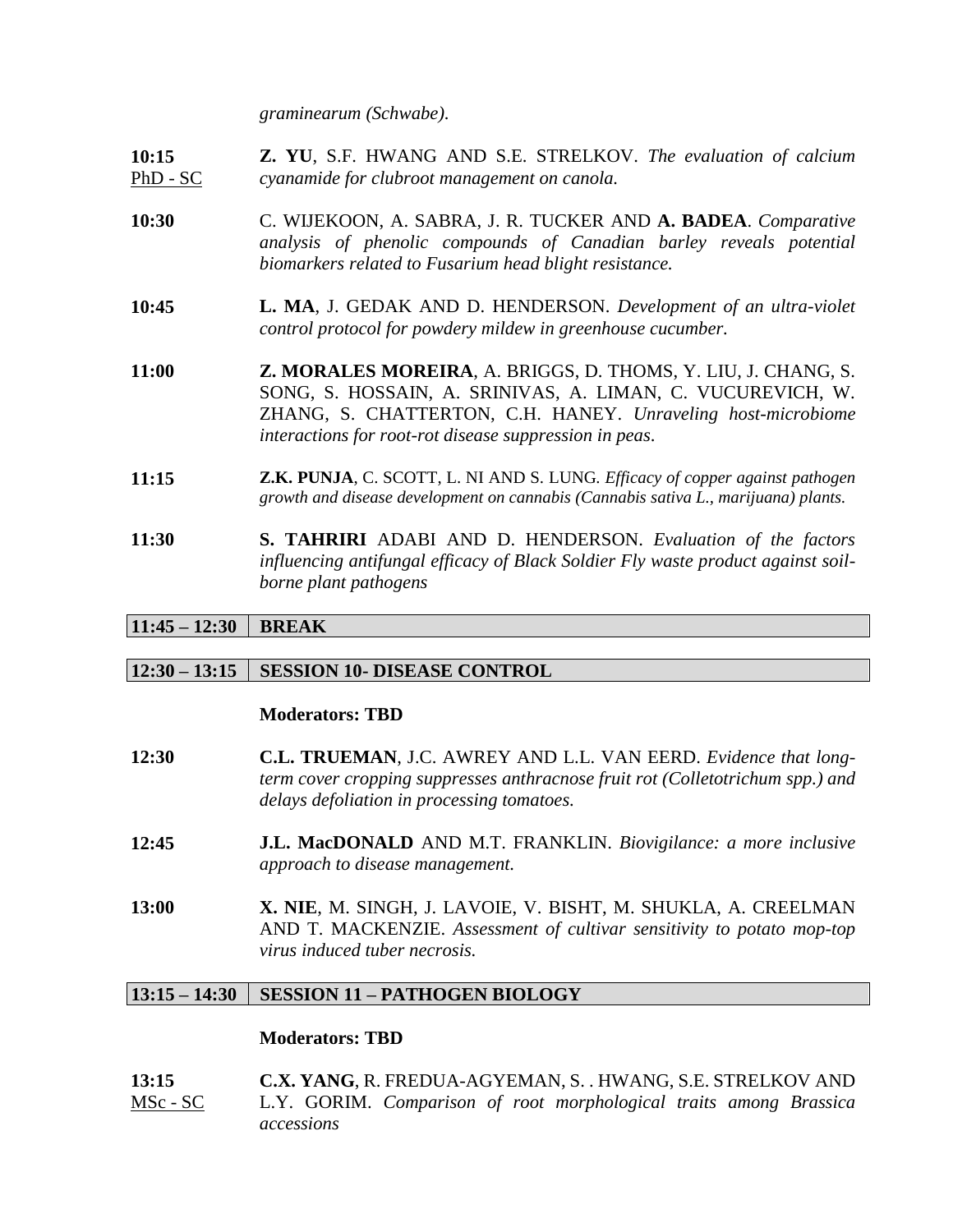*graminearum (Schwabe).* 

- **10:15** PhD - SC **Z. YU**, S.F. HWANG AND S.E. STRELKOV. *The evaluation of calcium cyanamide for clubroot management on canola.*
- **10:30** C. WIJEKOON, A. SABRA, J. R. TUCKER AND **A. BADEA**. *Comparative analysis of phenolic compounds of Canadian barley reveals potential biomarkers related to Fusarium head blight resistance.*
- **10:45 L. MA**, J. GEDAK AND D. HENDERSON. *Development of an ultra-violet control protocol for powdery mildew in greenhouse cucumber.*
- **11:00 Z. MORALES MOREIRA**, A. BRIGGS, D. THOMS, Y. LIU, J. CHANG, S. SONG, S. HOSSAIN, A. SRINIVAS, A. LIMAN, C. VUCUREVICH, W. ZHANG, S. CHATTERTON, C.H. HANEY. *Unraveling host-microbiome interactions for root-rot disease suppression in peas*.
- **11:15 Z.K. PUNJA**, C. SCOTT, L. NI AND S. LUNG*. Efficacy of copper against pathogen growth and disease development on cannabis (Cannabis sativa L., marijuana) plants.*
- **11:30 S. TAHRIRI** ADABI AND D. HENDERSON. *Evaluation of the factors influencing antifungal efficacy of Black Soldier Fly waste product against soilborne plant pathogens*

# $11:45 - 12:30$  **BREAK**

# **12:30 – 13:15 SESSION 10- DISEASE CONTROL**

#### **Moderators: TBD**

- **12:30 C.L. TRUEMAN**, J.C. AWREY AND L.L. VAN EERD. *Evidence that longterm cover cropping suppresses anthracnose fruit rot (Colletotrichum spp.) and delays defoliation in processing tomatoes.*
- **12:45 J.L. MacDONALD** AND M.T. FRANKLIN. *Biovigilance: a more inclusive approach to disease management.*
- **13:00 X. NIE**, M. SINGH, J. LAVOIE, V. BISHT, M. SHUKLA, A. CREELMAN AND T. MACKENZIE. *Assessment of cultivar sensitivity to potato mop-top virus induced tuber necrosis.*

# **13:15 – 14:30 SESSION 11 – PATHOGEN BIOLOGY**

| 13:15           | C.X. YANG, R. FREDUA-AGYEMAN, S. . HWANG, S.E. STRELKOV AND        |  |  |  |
|-----------------|--------------------------------------------------------------------|--|--|--|
| <u>MSc - SC</u> | L.Y. GORIM. Comparison of root morphological traits among Brassica |  |  |  |
|                 | accessions                                                         |  |  |  |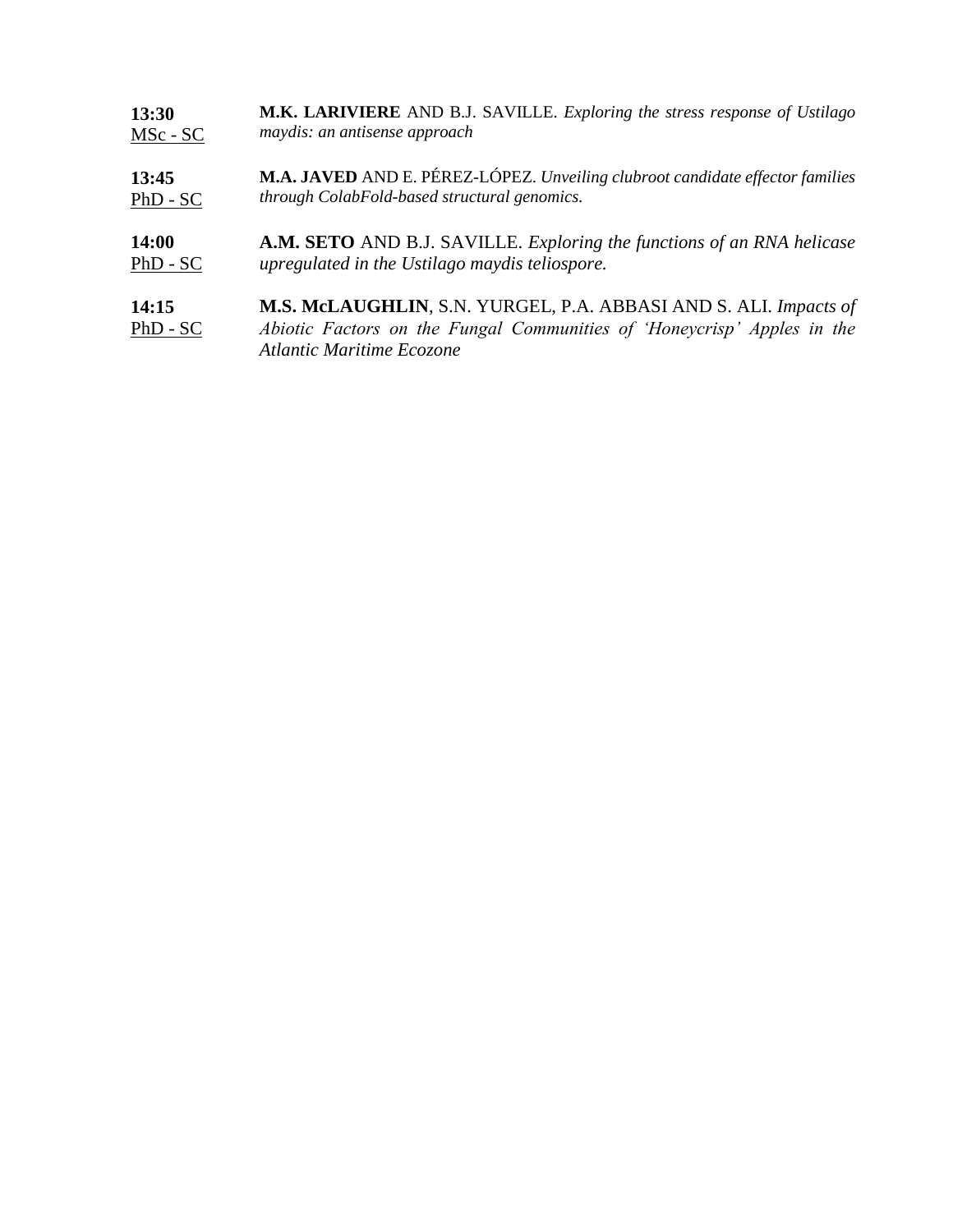| 13:30               | M.K. LARIVIERE AND B.J. SAVILLE. Exploring the stress response of Ustilago                                                                                               |
|---------------------|--------------------------------------------------------------------------------------------------------------------------------------------------------------------------|
| MSc - SC            | maydis: an antisense approach                                                                                                                                            |
| 13:45               | M.A. JAVED AND E. PÉREZ-LÓPEZ. Unveiling clubroot candidate effector families                                                                                            |
| $PhD - SC$          | through ColabFold-based structural genomics.                                                                                                                             |
| <b>14:00</b>        | A.M. SETO AND B.J. SAVILLE. Exploring the functions of an RNA helicase                                                                                                   |
| $PhD - SC$          | upregulated in the Ustilago maydis teliospore.                                                                                                                           |
| 14:15<br>$PhD - SC$ | M.S. McLAUGHLIN, S.N. YURGEL, P.A. ABBASI AND S. ALI. Impacts of<br>Abiotic Factors on the Fungal Communities of 'Honeycrisp' Apples in the<br>Atlantic Maritime Ecozone |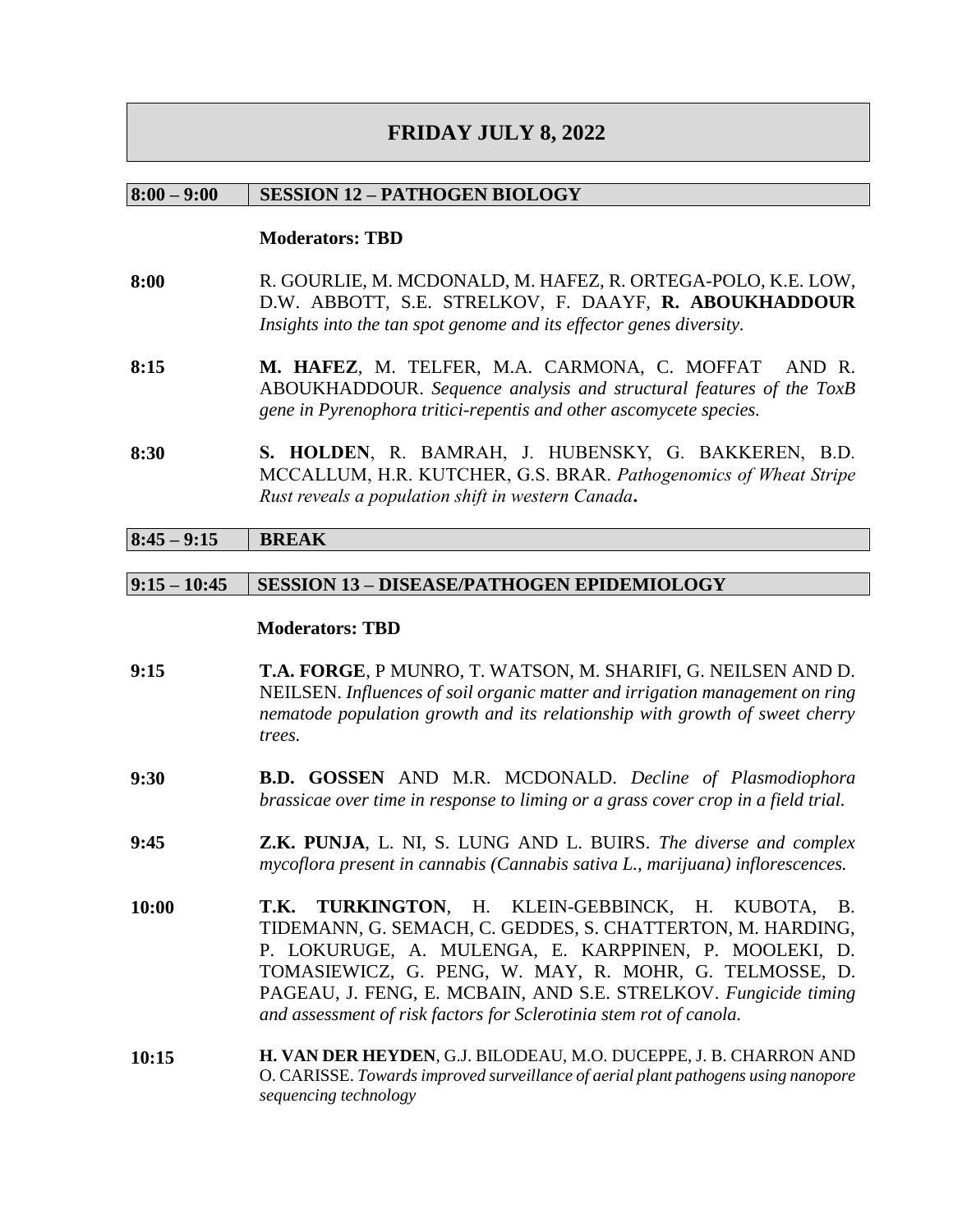# **FRIDAY JULY 8, 2022**

#### **8:00 – 9:00 SESSION 12 – PATHOGEN BIOLOGY**

#### **Moderators: TBD**

- **8:00** R. GOURLIE, M. MCDONALD, M. HAFEZ, R. ORTEGA-POLO, K.E. LOW, D.W. ABBOTT, S.E. STRELKOV, F. DAAYF, **R. ABOUKHADDOUR** *Insights into the tan spot genome and its effector genes diversity.*
- **8:15 M. HAFEZ**, M. TELFER, M.A. CARMONA, C. MOFFAT AND R. ABOUKHADDOUR. *Sequence analysis and structural features of the ToxB gene in Pyrenophora tritici-repentis and other ascomycete species.*
- **8:30 S. HOLDEN**, R. BAMRAH, J. HUBENSKY, G. BAKKEREN, B.D. MCCALLUM, H.R. KUTCHER, G.S. BRAR. *Pathogenomics of Wheat Stripe Rust reveals a population shift in western Canada***.**

### **8:45 – 9:15 BREAK**

#### **9:15 – 10:45 SESSION 13 – DISEASE/PATHOGEN EPIDEMIOLOGY**

| 9:15  | T.A. FORGE, P MUNRO, T. WATSON, M. SHARIFI, G. NEILSEN AND D.<br>NEILSEN. Influences of soil organic matter and irrigation management on ring<br>nematode population growth and its relationship with growth of sweet cherry<br>trees.                                                                                                                                      |
|-------|-----------------------------------------------------------------------------------------------------------------------------------------------------------------------------------------------------------------------------------------------------------------------------------------------------------------------------------------------------------------------------|
| 9:30  | <b>B.D. GOSSEN</b> AND M.R. MCDONALD. Decline of Plasmodiophora<br>brassicae over time in response to liming or a grass cover crop in a field trial.                                                                                                                                                                                                                        |
| 9:45  | Z.K. PUNJA, L. NI, S. LUNG AND L. BUIRS. The diverse and complex<br>mycoflora present in cannabis (Cannabis sativa L., marijuana) inflorescences.                                                                                                                                                                                                                           |
| 10:00 | T.K. TURKINGTON, H. KLEIN-GEBBINCK, H. KUBOTA, B.<br>TIDEMANN, G. SEMACH, C. GEDDES, S. CHATTERTON, M. HARDING,<br>P. LOKURUGE, A. MULENGA, E. KARPPINEN, P. MOOLEKI, D.<br>TOMASIEWICZ, G. PENG, W. MAY, R. MOHR, G. TELMOSSE, D.<br>PAGEAU, J. FENG, E. MCBAIN, AND S.E. STRELKOV. Fungicide timing<br>and assessment of risk factors for Sclerotinia stem rot of canola. |
| 10:15 | H. VAN DER HEYDEN, G.J. BILODEAU, M.O. DUCEPPE, J. B. CHARRON AND<br>O. CARISSE. Towards improved surveillance of aerial plant pathogens using nanopore<br>sequencing technology                                                                                                                                                                                            |